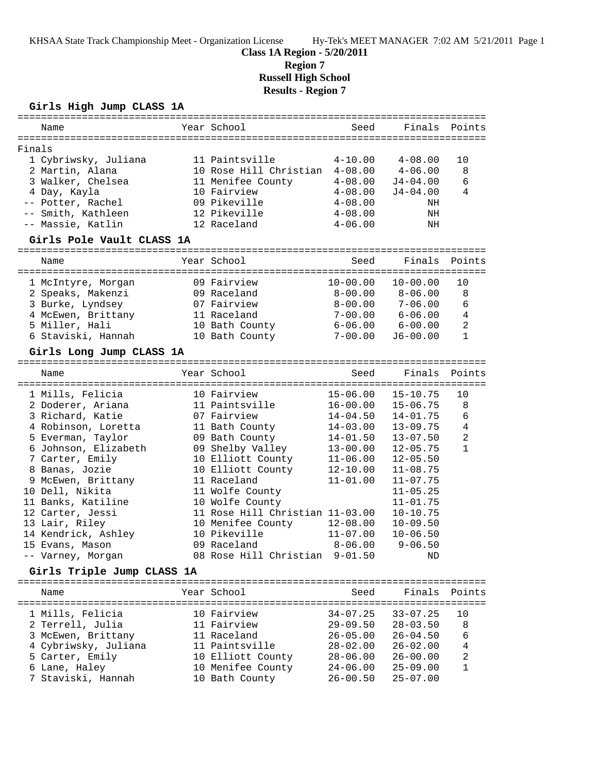KHSAA State Track Championship Meet - Organization License Hy-Tek's MEET MANAGER 7:02 AM 5/21/2011 Page 1

**Class 1A Region - 5/20/2011**

**Region 7**

**Russell High School**

**Results - Region 7**

### **Girls High Jump CLASS 1A**

|        | Name                                     | Year School                     | Seed         | Finals       | Points         |
|--------|------------------------------------------|---------------------------------|--------------|--------------|----------------|
|        |                                          |                                 |              |              |                |
| Finals |                                          |                                 |              |              |                |
|        | 1 Cybriwsky, Juliana                     | 11 Paintsville                  | $4 - 10.00$  | $4 - 08.00$  | 10             |
|        | 2 Martin, Alana                          | 10 Rose Hill Christian 4-08.00  |              | $4 - 06.00$  | 8              |
|        | 3 Walker, Chelsea                        | 11 Menifee County               | $4 - 08.00$  | $J4 - 04.00$ | 6              |
|        | 4 Day, Kayla                             | 10 Fairview                     | $4 - 08.00$  | $J4 - 04.00$ | 4              |
|        | -- Potter, Rachel                        | 09 Pikeville                    | $4 - 08.00$  | NH           |                |
|        | -- Smith, Kathleen                       | 12 Pikeville                    | $4 - 08.00$  | NH           |                |
|        |                                          | 12 Raceland                     |              |              |                |
|        | -- Massie, Katlin                        |                                 | $4 - 06.00$  | NH           |                |
|        | Girls Pole Vault CLASS 1A                |                                 |              |              |                |
|        | Name                                     | Year School                     | Seed         | Finals       | Points         |
|        | 1 McIntyre, Morgan                       | 09 Fairview                     | $10 - 00.00$ | $10 - 00.00$ | 10             |
|        |                                          | 09 Raceland                     | $8 - 00.00$  | $8 - 06.00$  | 8              |
|        | 2 Speaks, Makenzi                        |                                 |              |              |                |
|        | 3 Burke, Lyndsey                         | 07 Fairview                     | $8 - 00.00$  | $7 - 06.00$  | 6              |
|        | 4 McEwen, Brittany                       | 11 Raceland                     | $7 - 00.00$  | $6 - 06.00$  | $\overline{4}$ |
|        | 5 Miller, Hali                           | 10 Bath County                  | $6 - 06.00$  | $6 - 00.00$  | $\overline{2}$ |
|        | 6 Staviski, Hannah                       | 10 Bath County                  | $7 - 00.00$  | $J6 - 00.00$ | $\mathbf{1}$   |
|        | Girls Long Jump CLASS 1A                 |                                 |              |              |                |
|        | ========================                 |                                 |              |              |                |
|        | Name                                     | Year School                     | Seed         | Finals       | Points         |
|        |                                          |                                 |              |              |                |
|        | 1 Mills, Felicia                         | 10 Fairview                     | $15 - 06.00$ | $15 - 10.75$ | 10             |
|        | 2 Doderer, Ariana                        | 11 Paintsville                  | $16 - 00.00$ | $15 - 06.75$ | 8              |
|        | 3 Richard, Katie                         | 07 Fairview                     | $14 - 04.50$ | $14 - 01.75$ | 6              |
|        | 4 Robinson, Loretta                      | 11 Bath County                  | $14 - 03.00$ | $13 - 09.75$ | $\overline{4}$ |
|        | 5 Everman, Taylor                        | 09 Bath County                  | $14 - 01.50$ | $13 - 07.50$ | $\overline{a}$ |
|        | 6 Johnson, Elizabeth                     | 09 Shelby Valley                | $13 - 00.00$ | $12 - 05.75$ | $\mathbf{1}$   |
|        | 7 Carter, Emily                          | 10 Elliott County               | $11 - 06.00$ | $12 - 05.50$ |                |
|        | 8 Banas, Jozie                           | 10 Elliott County               | $12 - 10.00$ | $11 - 08.75$ |                |
|        | 9 McEwen, Brittany                       | 11 Raceland                     | $11 - 01.00$ | $11 - 07.75$ |                |
|        | 10 Dell, Nikita                          | 11 Wolfe County                 |              | $11 - 05.25$ |                |
|        |                                          |                                 |              |              |                |
|        | 11 Banks, Katiline                       | 10 Wolfe County                 |              | $11 - 01.75$ |                |
|        | 12 Carter, Jessi                         | 11 Rose Hill Christian 11-03.00 |              | $10 - 10.75$ |                |
|        | 13 Lair, Riley                           | 10 Menifee County               | $12 - 08.00$ | $10 - 09.50$ |                |
|        | 14 Kendrick, Ashley                      | 10 Pikeville                    | $11 - 07.00$ | $10 - 06.50$ |                |
|        | 15 Evans, Mason                          | 09 Raceland                     | $8 - 06.00$  | $9 - 06.50$  |                |
|        | -- Varney, Morgan                        | 08 Rose Hill Christian          | $9 - 01.50$  | ΝD           |                |
|        | Girls Triple Jump CLASS 1A               |                                 |              |              |                |
|        | ================================<br>Name | Year School                     | Seed         | Finals       | Points         |
|        |                                          |                                 |              |              |                |
|        | 1 Mills, Felicia                         | 10 Fairview                     | $34 - 07.25$ | $33 - 07.25$ | 10             |
|        | 2 Terrell, Julia                         | 11 Fairview                     | $29 - 09.50$ | $28 - 03.50$ | 8              |
|        | 3 McEwen, Brittany                       | 11 Raceland                     | $26 - 05.00$ | $26 - 04.50$ | 6              |
|        |                                          |                                 |              |              |                |
|        | 4 Cybriwsky, Juliana                     | 11 Paintsville                  | $28 - 02.00$ | $26 - 02.00$ | $\,4$          |
|        | 5 Carter, Emily                          | 10 Elliott County               | $28 - 06.00$ | $26 - 00.00$ | 2              |
|        | 6 Lane, Haley                            | 10 Menifee County               | $24 - 06.00$ | $25 - 09.00$ | 1              |
|        | 7 Staviski, Hannah                       | 10 Bath County                  | $26 - 00.50$ | $25 - 07.00$ |                |
|        |                                          |                                 |              |              |                |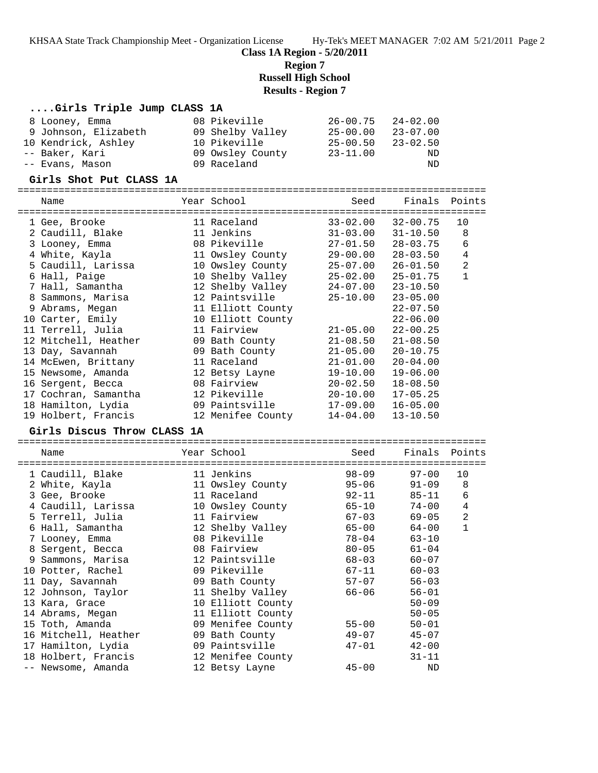KHSAA State Track Championship Meet - Organization License Hy-Tek's MEET MANAGER 7:02 AM 5/21/2011 Page 2

**Class 1A Region - 5/20/2011**

**Region 7**

**Russell High School**

### **Results - Region 7**

### **....Girls Triple Jump CLASS 1A**

| 8 Looney, Emma       | 08 Pikeville     | $26 - 00.75$ | 24-02.00     |
|----------------------|------------------|--------------|--------------|
| 9 Johnson, Elizabeth | 09 Shelby Valley | 25-00.00     | $23 - 07.00$ |
| 10 Kendrick, Ashley  | 10 Pikeville     | $25 - 00.50$ | $23 - 02.50$ |
| -- Baker, Kari       | 09 Owsley County | $23 - 11.00$ | ND           |
| -- Evans, Mason      | 09 Raceland      |              | ND           |

#### **Girls Shot Put CLASS 1A**

================================================================================

| Name<br>------------------------------------- | Year School       | Seed                      | Finals       | Points       |
|-----------------------------------------------|-------------------|---------------------------|--------------|--------------|
| 1 Gee, Brooke                                 | 11 Raceland       | $33 - 02.00$              | 32-00.75     | 10           |
| 2 Caudill, Blake                              | 11 Jenkins        | $31 - 03.00$              | $31 - 10.50$ | 8            |
| 3 Looney, Emma                                | 08 Pikeville      | $27 - 01.50$              | 28-03.75     | 6            |
| 4 White, Kayla                                | 11 Owsley County  | 29-00.00                  | $28 - 03.50$ | $\,4$        |
| 5 Caudill, Larissa                            | 10 Owsley County  | 25-07.00                  | $26 - 01.50$ | $\sqrt{2}$   |
| 6 Hall, Paige                                 | 10 Shelby Valley  | $25 - 02.00$ $25 - 01.75$ |              | $\mathbf{1}$ |
| 7 Hall, Samantha                              | 12 Shelby Valley  | 24-07.00                  | $23 - 10.50$ |              |
| 8 Sammons, Marisa                             | 12 Paintsville    | 25-10.00                  | $23 - 05.00$ |              |
| 9 Abrams, Megan                               | 11 Elliott County |                           | $22 - 07.50$ |              |
| 10 Carter, Emily                              | 10 Elliott County |                           | $22 - 06.00$ |              |
| 11 Terrell, Julia                             | 11 Fairview       | $21 - 05.00$              | $22 - 00.25$ |              |
| 12 Mitchell, Heather                          | 09 Bath County    | 21-08.50                  | $21 - 08.50$ |              |
| 13 Day, Savannah                              | 09 Bath County    | $21 - 05.00$              | $20 - 10.75$ |              |
| 14 McEwen, Brittany                           | 11 Raceland       | 21-01.00                  | $20 - 04.00$ |              |
| 15 Newsome, Amanda                            | 12 Betsy Layne    | 19-10.00                  | $19 - 06.00$ |              |
| 16 Sergent, Becca                             | 08 Fairview       | $20 - 02.50$              | $18 - 08.50$ |              |
| 17 Cochran, Samantha                          | 12 Pikeville      | 20-10.00                  | $17 - 05.25$ |              |
| 18 Hamilton, Lydia                            | 09 Paintsville    | 17-09.00                  | $16 - 05.00$ |              |
| 19 Holbert, Francis                           | 12 Menifee County | 14-04.00                  | $13 - 10.50$ |              |
| Girls Discus Throw CLASS 1A                   |                   |                           |              |              |
|                                               |                   |                           |              |              |

| Name                 | Year School       | Seed      | Finals    | Points         |
|----------------------|-------------------|-----------|-----------|----------------|
| 1 Caudill, Blake     | 11 Jenkins        | $98 - 09$ | $97 - 00$ | 10             |
| 2 White, Kayla       | 11 Owsley County  | $95 - 06$ | $91 - 09$ | 8              |
| 3 Gee, Brooke        | 11 Raceland       | $92 - 11$ | 85-11     | 6              |
| 4 Caudill, Larissa   | 10 Owsley County  | 65-10     | $74 - 00$ | $\overline{4}$ |
| 5 Terrell, Julia     | 11 Fairview       | 67-03     | 69-05     | $\overline{a}$ |
| 6 Hall, Samantha     | 12 Shelby Valley  | 65-00     | 64-00     | $\mathbf{1}$   |
| 7 Looney, Emma       | 08 Pikeville      | 78-04     | $63 - 10$ |                |
| 8 Sergent, Becca     | 08 Fairview       | $80 - 05$ | $61 - 04$ |                |
| 9 Sammons, Marisa    | 12 Paintsville    | 68-03     | $60 - 07$ |                |
| 10 Potter, Rachel    | 09 Pikeville      | 67-11     | $60 - 03$ |                |
| 11 Day, Savannah     | 09 Bath County    | 57-07     | $56 - 03$ |                |
| 12 Johnson, Taylor   | 11 Shelby Valley  | 66-06     | $56 - 01$ |                |
| 13 Kara, Grace       | 10 Elliott County |           | $50 - 09$ |                |
| 14 Abrams, Megan     | 11 Elliott County |           | $50 - 05$ |                |
| 15 Toth, Amanda      | 09 Menifee County | $55 - 00$ | $50 - 01$ |                |
| 16 Mitchell, Heather | 09 Bath County    | 49-07     | $45 - 07$ |                |
| 17 Hamilton, Lydia   | 09 Paintsville    | $47 - 01$ | $42 - 00$ |                |
| 18 Holbert, Francis  | 12 Menifee County |           | $31 - 11$ |                |
| -- Newsome, Amanda   | 12 Betsy Layne    | $45 - 00$ | ND        |                |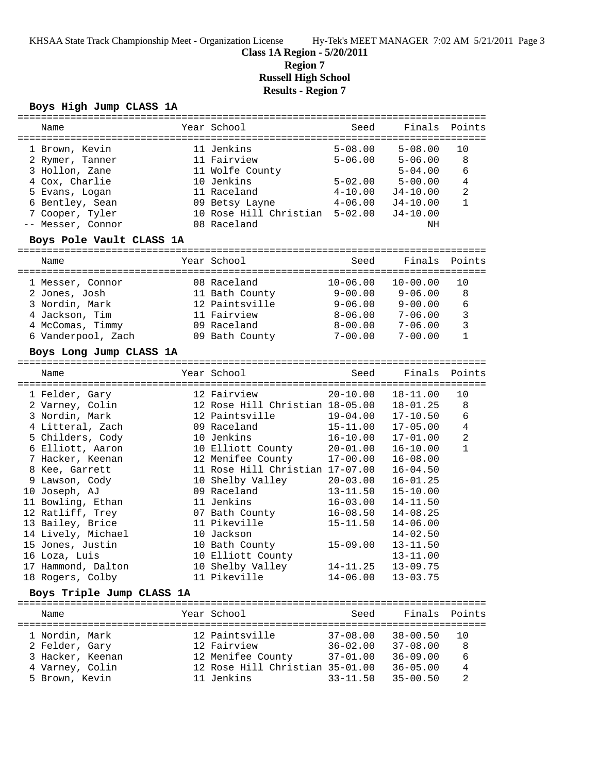**Class 1A Region - 5/20/2011**

**Region 7**

**Russell High School**

# **Results - Region 7**

### **Boys High Jump CLASS 1A**

| Name                     |                                                            | Year School                         | Seed         | Finals       | Points       |  |  |
|--------------------------|------------------------------------------------------------|-------------------------------------|--------------|--------------|--------------|--|--|
|                          |                                                            |                                     |              |              |              |  |  |
| 1 Brown, Kevin           |                                                            | 11 Jenkins                          | $5 - 08.00$  | $5 - 08.00$  | 10           |  |  |
| 2 Rymer, Tanner          |                                                            | 11 Fairview                         | $5 - 06.00$  | $5 - 06.00$  | 8            |  |  |
| 3 Hollon, Zane           |                                                            | 11 Wolfe County                     |              | $5 - 04.00$  | 6            |  |  |
| 4 Cox, Charlie           |                                                            | 10 Jenkins                          | $5 - 02.00$  | $5 - 00.00$  | 4            |  |  |
| 5 Evans, Logan           |                                                            | 11 Raceland                         | $4 - 10.00$  | J4-10.00     | 2            |  |  |
| 6 Bentley, Sean          |                                                            | 09 Betsy Layne                      | $4 - 06.00$  | $J4 - 10.00$ | $\mathbf{1}$ |  |  |
|                          |                                                            | 10 Rose Hill Christian 5-02.00      |              |              |              |  |  |
| 7 Cooper, Tyler          |                                                            |                                     |              | $J4 - 10.00$ |              |  |  |
| -- Messer, Connor        |                                                            | 08 Raceland                         |              | ΝH           |              |  |  |
| Boys Pole Vault CLASS 1A |                                                            |                                     |              |              |              |  |  |
| Name                     |                                                            | Year School                         | Seed         | Finals       | Points       |  |  |
| 1 Messer, Connor         |                                                            | 08 Raceland                         | $10 - 06.00$ | $10 - 00.00$ | 10           |  |  |
| 2 Jones, Josh            |                                                            | 11 Bath County                      | $9 - 00.00$  | $9 - 06.00$  | 8            |  |  |
| 3 Nordin, Mark           |                                                            | 12 Paintsville                      | $9 - 06.00$  | $9 - 00.00$  | 6            |  |  |
|                          |                                                            |                                     |              |              |              |  |  |
| 4 Jackson, Tim           |                                                            | 11 Fairview                         | $8 - 06.00$  | $7 - 06.00$  | $\mathbf{3}$ |  |  |
| 4 McComas, Timmy         |                                                            | 09 Raceland                         | $8 - 00.00$  | $7 - 06.00$  | $\mathbf{3}$ |  |  |
| 6 Vanderpool, Zach       |                                                            | 09 Bath County                      | $7 - 00.00$  | $7 - 00.00$  | $\mathbf{1}$ |  |  |
| Boys Long Jump CLASS 1A  |                                                            | ----------------------------------- |              |              |              |  |  |
| Name                     |                                                            | Year School                         | Seed         | Finals       | Points       |  |  |
|                          |                                                            |                                     |              |              |              |  |  |
| 1 Felder, Gary           |                                                            | 12 Fairview                         | $20 - 10.00$ | $18 - 11.00$ | 10           |  |  |
| 2 Varney, Colin          |                                                            | 12 Rose Hill Christian 18-05.00     |              | $18 - 01.25$ | 8            |  |  |
| 3 Nordin, Mark           |                                                            | 12 Paintsville                      | $19 - 04.00$ | $17 - 10.50$ | 6            |  |  |
| 4 Litteral, Zach         |                                                            | 09 Raceland                         | $15 - 11.00$ | $17 - 05.00$ | 4            |  |  |
| 5 Childers, Cody         |                                                            | 10 Jenkins                          | $16 - 10.00$ | 17-01.00     | 2            |  |  |
| 6 Elliott, Aaron         |                                                            | 10 Elliott County                   | $20 - 01.00$ | $16 - 10.00$ | $\mathbf{1}$ |  |  |
|                          |                                                            |                                     |              |              |              |  |  |
| 7 Hacker, Keenan         |                                                            | 12 Menifee County                   | $17 - 00.00$ | $16 - 08.00$ |              |  |  |
| 8 Kee, Garrett           |                                                            | 11 Rose Hill Christian 17-07.00     |              | $16 - 04.50$ |              |  |  |
| 9 Lawson, Cody           |                                                            | 10 Shelby Valley                    | $20 - 03.00$ | $16 - 01.25$ |              |  |  |
| 10 Joseph, AJ            |                                                            | 09 Raceland                         | $13 - 11.50$ | $15 - 10.00$ |              |  |  |
| 11 Bowling, Ethan        |                                                            | 11 Jenkins                          | $16 - 03.00$ | 14-11.50     |              |  |  |
| 12 Ratliff, Trey         |                                                            | 07 Bath County                      | $16 - 08.50$ | $14 - 08.25$ |              |  |  |
| 13 Bailey, Brice         |                                                            | 11 Pikeville                        | $15 - 11.50$ | $14 - 06.00$ |              |  |  |
| 14 Lively, Michael       |                                                            | 10 Jackson                          |              | $14 - 02.50$ |              |  |  |
| 15 Jones, Justin         |                                                            | 10 Bath County                      | $15 - 09.00$ | $13 - 11.50$ |              |  |  |
| 16 Loza, Luis            |                                                            | 10 Elliott County                   |              | $13 - 11.00$ |              |  |  |
| 17 Hammond, Dalton       |                                                            | 10 Shelby Valley                    | $14 - 11.25$ | $13 - 09.75$ |              |  |  |
| 18 Rogers, Colby         |                                                            | 11 Pikeville                        | $14 - 06.00$ | $13 - 03.75$ |              |  |  |
|                          |                                                            |                                     |              |              |              |  |  |
|                          | Boys Triple Jump CLASS 1A<br>============================= |                                     |              |              |              |  |  |
| Name                     |                                                            | Year School                         | Seed         | Finals       | Points       |  |  |
| 1 Nordin, Mark           |                                                            | 12 Paintsville                      | $37 - 08.00$ | $38 - 00.50$ | 10           |  |  |
| 2 Felder, Gary           |                                                            | 12 Fairview                         | $36 - 02.00$ | $37 - 08.00$ | 8            |  |  |
| 3 Hacker, Keenan         |                                                            | 12 Menifee County                   | $37 - 01.00$ | $36 - 09.00$ | 6            |  |  |
|                          |                                                            |                                     |              |              |              |  |  |
| 4 Varney, Colin          |                                                            | 12 Rose Hill Christian 35-01.00     |              | $36 - 05.00$ | 4            |  |  |
| 5 Brown, Kevin           |                                                            | 11 Jenkins                          | $33 - 11.50$ | $35 - 00.50$ | 2            |  |  |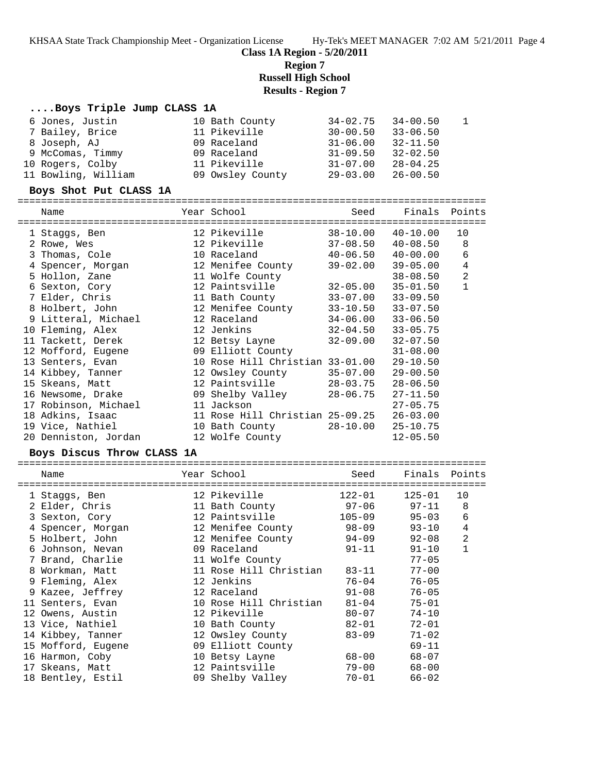KHSAA State Track Championship Meet - Organization License Hy-Tek's MEET MANAGER 7:02 AM 5/21/2011 Page 4

**Class 1A Region - 5/20/2011**

**Region 7**

**Russell High School**

#### **Results - Region 7**

#### **....Boys Triple Jump CLASS 1A**

| 6 Jones, Justin     | 10 Bath County   | $34 - 02.75$ $34 - 00.50$ |              |  |
|---------------------|------------------|---------------------------|--------------|--|
| 7 Bailey, Brice     | 11 Pikeville     | $30 - 00.50$ $33 - 06.50$ |              |  |
| 8 Joseph, AJ        | 09 Raceland      | $31 - 06.00$              | $32 - 11.50$ |  |
| 9 McComas, Timmy    | 09 Raceland      | $31 - 09.50$              | $32 - 02.50$ |  |
| 10 Rogers, Colby    | 11 Pikeville     | $31 - 07.00$              | $28 - 04.25$ |  |
| 11 Bowling, William | 09 Owsley County | 29-03.00                  | $26 - 00.50$ |  |

#### **Boys Shot Put CLASS 1A**

================================================================================

| Name<br>============================ | Year School<br>=============================                                                                                                                                                                                   | Seed         | Finals Points |                |
|--------------------------------------|--------------------------------------------------------------------------------------------------------------------------------------------------------------------------------------------------------------------------------|--------------|---------------|----------------|
| 1 Staggs, Ben                        | 12 Pikeville                                                                                                                                                                                                                   | 38-10.00     | $40 - 10.00$  | 10             |
| 2 Rowe, Wes                          | 12 Pikeville                                                                                                                                                                                                                   | 37-08.50     | 40-08.50      | 8              |
| 3 Thomas, Cole                       | 10 Raceland 40-06.50 40-00.00                                                                                                                                                                                                  |              |               | 6              |
| 4 Spencer, Morgan                    | 12 Menifee County                                                                                                                                                                                                              | 39-02.00     | $39 - 05.00$  | $\overline{4}$ |
| 5 Hollon, Zane                       | 11 Wolfe County                                                                                                                                                                                                                |              | $38 - 08.50$  | $\overline{c}$ |
| 6 Sexton, Cory                       | 12 Paintsville                                                                                                                                                                                                                 | 32-05.00     | $35 - 01.50$  | $\mathbf{1}$   |
| 7 Elder, Chris                       | 11 Bath County 33-07.00                                                                                                                                                                                                        |              | $33 - 09.50$  |                |
| 8 Holbert, John                      | 12 Menifee County                                                                                                                                                                                                              | $33 - 10.50$ | $33 - 07.50$  |                |
| 9 Litteral, Michael                  | 12 Raceland                                                                                                                                                                                                                    | 34-06.00     | $33 - 06.50$  |                |
| 10 Fleming, Alex                     | 12 Jenkins the sensor of the sense of the sense of the sense of the sense of the sense of the sense of the sense of the sense of the sense of the sense of the sense of the sense of the sense of the sense of the sense of th | 32-04.50     | $33 - 05.75$  |                |
| 11 Tackett, Derek                    | 12 Betsy Layne                                                                                                                                                                                                                 | 32-09.00     | $32 - 07.50$  |                |
| 12 Mofford, Eugene                   | 09 Elliott County                                                                                                                                                                                                              |              | $31 - 08.00$  |                |
| 13 Senters, Evan                     | 10 Rose Hill Christian 33-01.00                                                                                                                                                                                                |              | $29 - 10.50$  |                |
| 14 Kibbey, Tanner                    | 12 Owsley County 35-07.00                                                                                                                                                                                                      |              | $29 - 00.50$  |                |
| 15 Skeans, Matt                      | 12 Paintsville                                                                                                                                                                                                                 | 28-03.75     | $28 - 06.50$  |                |
| 16 Newsome, Drake                    | 09 Shelby Valley                                                                                                                                                                                                               | 28-06.75     | $27 - 11.50$  |                |
| 17 Robinson, Michael                 | 11 Jackson                                                                                                                                                                                                                     |              | $27 - 05.75$  |                |
| 18 Adkins, Isaac                     | 11 Rose Hill Christian 25-09.25                                                                                                                                                                                                |              | $26 - 03.00$  |                |
| 19 Vice, Nathiel                     | 10 Bath County                                                                                                                                                                                                                 | 28-10.00     | $25 - 10.75$  |                |
| 20 Denniston, Jordan                 | 12 Wolfe County                                                                                                                                                                                                                |              | $12 - 05.50$  |                |

#### **Boys Discus Throw CLASS 1A**

================================================================================ Name  $Year School$  School Seed Finals Points ================================================================================ 1 Staggs, Ben 12 Pikeville 122-01 125-01 10 2 Elder, Chris 11 Bath County 97-06 97-11 8 3 Sexton, Cory 12 Paintsville 105-09 95-03 6 4 Spencer, Morgan 12 Menifee County 98-09 93-10 4 5 Holbert, John 12 Menifee County 94-09 92-08 2 6 Johnson, Nevan 09 Raceland 91-11 91-10 1 7 Brand, Charlie 11 Wolfe County 77-05 8 Workman, Matt 11 Rose Hill Christian 83-11 77-00 9 Fleming, Alex 12 Jenkins 76-04 76-05 9 Kazee, Jeffrey 12 Raceland 91-08 76-05 11 Senters, Evan 10 Rose Hill Christian 81-04 75-01 12 Owens, Austin 12 Pikeville 80-07 74-10 13 Vice, Nathiel 10 Bath County 82-01 72-01 14 Kibbey, Tanner 12 Owsley County 83-09 71-02 15 Mofford, Eugene 09 Elliott County 69-11 16 Harmon, Coby 10 Betsy Layne 68-00 68-07 17 Skeans, Matt 12 Paintsville 79-00 68-00 18 Bentley, Estil 09 Shelby Valley 70-01 66-02